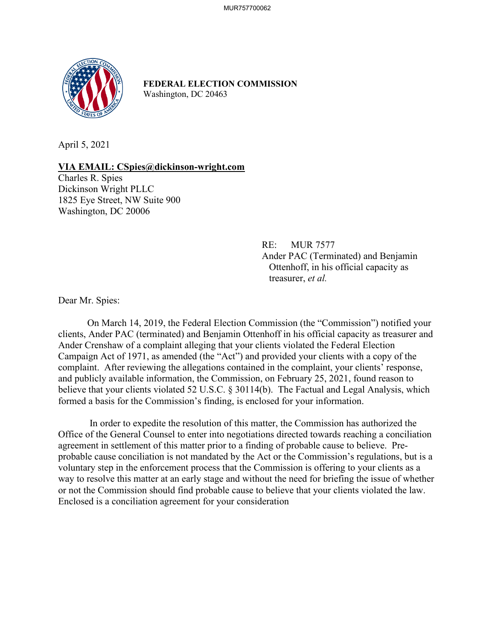

**FEDERAL ELECTION COMMISSION** Washington, DC 20463

April 5, 2021

## **VIA EMAIL: CSpies@dickinson-wright.com**

Charles R. Spies Dickinson Wright PLLC 1825 Eye Street, NW Suite 900 Washington, DC 20006

> RE: MUR 7577 Ander PAC (Terminated) and Benjamin Ottenhoff, in his official capacity as treasurer, *et al.*

Dear Mr. Spies:

On March 14, 2019, the Federal Election Commission (the "Commission") notified your clients, Ander PAC (terminated) and Benjamin Ottenhoff in his official capacity as treasurer and Ander Crenshaw of a complaint alleging that your clients violated the Federal Election Campaign Act of 1971, as amended (the "Act") and provided your clients with a copy of the complaint. After reviewing the allegations contained in the complaint, your clients' response, and publicly available information, the Commission, on February 25, 2021, found reason to believe that your clients violated 52 U.S.C. § 30114(b). The Factual and Legal Analysis, which formed a basis for the Commission's finding, is enclosed for your information.

 In order to expedite the resolution of this matter, the Commission has authorized the Office of the General Counsel to enter into negotiations directed towards reaching a conciliation agreement in settlement of this matter prior to a finding of probable cause to believe. Preprobable cause conciliation is not mandated by the Act or the Commission's regulations, but is a voluntary step in the enforcement process that the Commission is offering to your clients as a way to resolve this matter at an early stage and without the need for briefing the issue of whether or not the Commission should find probable cause to believe that your clients violated the law. Enclosed is a conciliation agreement for your consideration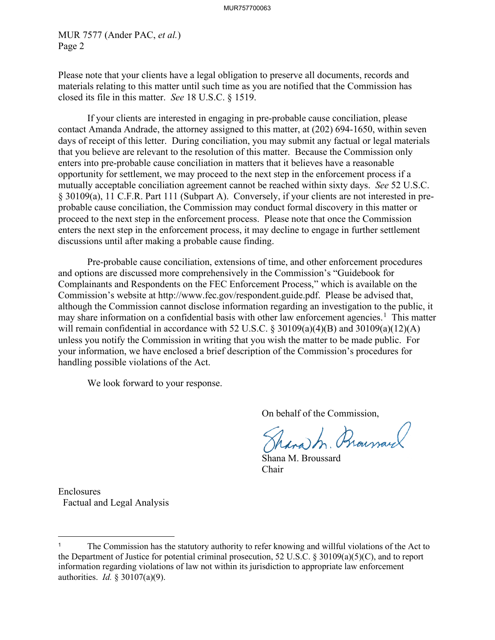MUR 7577 (Ander PAC, *et al.*) Page 2

Please note that your clients have a legal obligation to preserve all documents, records and materials relating to this matter until such time as you are notified that the Commission has closed its file in this matter. *See* 18 U.S.C. § 1519.

If your clients are interested in engaging in pre-probable cause conciliation, please contact Amanda Andrade, the attorney assigned to this matter, at (202) 694-1650, within seven days of receipt of this letter. During conciliation, you may submit any factual or legal materials that you believe are relevant to the resolution of this matter. Because the Commission only enters into pre-probable cause conciliation in matters that it believes have a reasonable opportunity for settlement, we may proceed to the next step in the enforcement process if a mutually acceptable conciliation agreement cannot be reached within sixty days. *See* 52 U.S.C. § 30109(a), 11 C.F.R. Part 111 (Subpart A). Conversely, if your clients are not interested in preprobable cause conciliation, the Commission may conduct formal discovery in this matter or proceed to the next step in the enforcement process. Please note that once the Commission enters the next step in the enforcement process, it may decline to engage in further settlement discussions until after making a probable cause finding.

Pre-probable cause conciliation, extensions of time, and other enforcement procedures and options are discussed more comprehensively in the Commission's "Guidebook for Complainants and Respondents on the FEC Enforcement Process," which is available on the Commission's website at http://www.fec.gov/respondent.guide.pdf. Please be advised that, although the Commission cannot disclose information regarding an investigation to the public, it may share information on a confidential basis with other law enforcement agencies.<sup>[1](#page-1-0)</sup> This matter will remain confidential in accordance with 52 U.S.C. § 30109(a)(4)(B) and 30109(a)(12)(A) unless you notify the Commission in writing that you wish the matter to be made public. For your information, we have enclosed a brief description of the Commission's procedures for handling possible violations of the Act.

We look forward to your response.

On behalf of the Commission,

hara In. Prourance

Shana M. Broussard Chair

Enclosures Factual and Legal Analysis

<span id="page-1-0"></span><sup>&</sup>lt;sup>1</sup> The Commission has the statutory authority to refer knowing and willful violations of the Act to the Department of Justice for potential criminal prosecution, 52 U.S.C. § 30109(a)(5)(C), and to report information regarding violations of law not within its jurisdiction to appropriate law enforcement authorities. *Id.* § 30107(a)(9).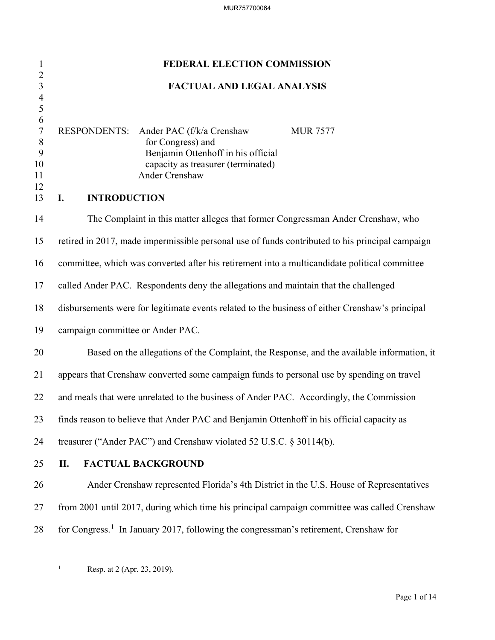| $\mathbf{1}$                                                         | FEDERAL ELECTION COMMISSION                                                                                                                                                                                         |
|----------------------------------------------------------------------|---------------------------------------------------------------------------------------------------------------------------------------------------------------------------------------------------------------------|
| $\overline{c}$<br>$\begin{array}{c} 3 \\ 4 \\ 5 \end{array}$         | <b>FACTUAL AND LEGAL ANALYSIS</b>                                                                                                                                                                                   |
| $\sqrt{6}$<br>$\boldsymbol{7}$<br>$\,8$<br>9<br>10<br>11<br>12<br>13 | <b>RESPONDENTS:</b><br>Ander PAC (f/k/a Crenshaw<br><b>MUR 7577</b><br>for Congress) and<br>Benjamin Ottenhoff in his official<br>capacity as treasurer (terminated)<br>Ander Crenshaw<br><b>INTRODUCTION</b><br>I. |
| 14                                                                   | The Complaint in this matter alleges that former Congressman Ander Crenshaw, who                                                                                                                                    |
| 15                                                                   | retired in 2017, made impermissible personal use of funds contributed to his principal campaign                                                                                                                     |
| 16                                                                   | committee, which was converted after his retirement into a multicandidate political committee                                                                                                                       |
| 17                                                                   | called Ander PAC. Respondents deny the allegations and maintain that the challenged                                                                                                                                 |
| 18                                                                   | disbursements were for legitimate events related to the business of either Crenshaw's principal                                                                                                                     |
| 19                                                                   | campaign committee or Ander PAC.                                                                                                                                                                                    |
| 20                                                                   | Based on the allegations of the Complaint, the Response, and the available information, it                                                                                                                          |
| 21                                                                   | appears that Crenshaw converted some campaign funds to personal use by spending on travel                                                                                                                           |
| 22                                                                   | and meals that were unrelated to the business of Ander PAC. Accordingly, the Commission                                                                                                                             |
| 23                                                                   | finds reason to believe that Ander PAC and Benjamin Ottenhoff in his official capacity as                                                                                                                           |
| 24                                                                   | treasurer ("Ander PAC") and Crenshaw violated 52 U.S.C. § 30114(b).                                                                                                                                                 |
| 25                                                                   | П.<br><b>FACTUAL BACKGROUND</b>                                                                                                                                                                                     |
| 26                                                                   | Ander Crenshaw represented Florida's 4th District in the U.S. House of Representatives                                                                                                                              |
| 27                                                                   | from 2001 until 2017, during which time his principal campaign committee was called Crenshaw                                                                                                                        |
| 28                                                                   | for Congress. <sup>1</sup> In January 2017, following the congressman's retirement, Crenshaw for                                                                                                                    |

<span id="page-2-0"></span> $\frac{1}{1}$ 

Resp. at 2 (Apr. 23, 2019).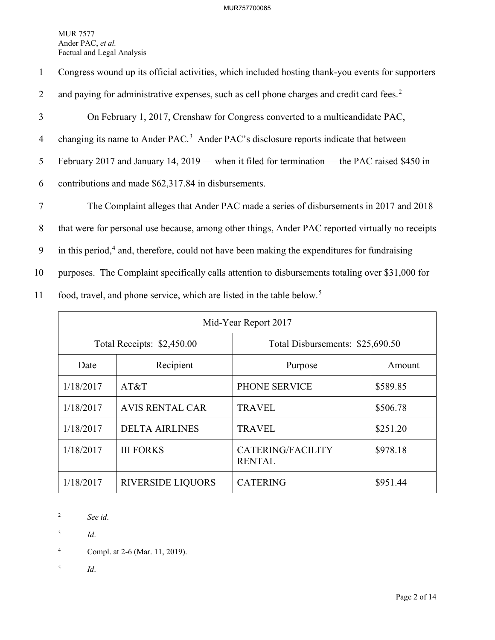| $\mathbf{1}$   | Congress wound up its official activities, which included hosting thank-you events for supporters        |
|----------------|----------------------------------------------------------------------------------------------------------|
| 2              | and paying for administrative expenses, such as cell phone charges and credit card fees. <sup>2</sup>    |
| 3              | On February 1, 2017, Crenshaw for Congress converted to a multicandidate PAC,                            |
| $\overline{4}$ | changing its name to Ander PAC. <sup>3</sup> Ander PAC's disclosure reports indicate that between        |
| 5              | February 2017 and January 14, 2019 — when it filed for termination — the PAC raised \$450 in             |
| 6              | contributions and made \$62,317.84 in disbursements.                                                     |
| $\overline{7}$ | The Complaint alleges that Ander PAC made a series of disbursements in 2017 and 2018                     |
| 8              | that were for personal use because, among other things, Ander PAC reported virtually no receipts         |
| 9              | in this period, <sup>4</sup> and, therefore, could not have been making the expenditures for fundraising |
| 10             | purposes. The Complaint specifically calls attention to disbursements totaling over \$31,000 for         |
| 11             | food, travel, and phone service, which are listed in the table below. <sup>5</sup>                       |

| Mid-Year Report 2017       |                          |                                    |          |
|----------------------------|--------------------------|------------------------------------|----------|
| Total Receipts: \$2,450.00 |                          | Total Disbursements: \$25,690.50   |          |
| Date                       | Recipient                | Purpose                            | Amount   |
| 1/18/2017                  | AT&T                     | PHONE SERVICE                      | \$589.85 |
| 1/18/2017                  | <b>AVIS RENTAL CAR</b>   | <b>TRAVEL</b>                      | \$506.78 |
| 1/18/2017                  | <b>DELTA AIRLINES</b>    | <b>TRAVEL</b>                      | \$251.20 |
| 1/18/2017                  | <b>III FORKS</b>         | CATERING/FACILITY<br><b>RENTAL</b> | \$978.18 |
| 1/18/2017                  | <b>RIVERSIDE LIQUORS</b> | <b>CATERING</b>                    | \$951.44 |

 $\frac{1}{2}$ *See id*.

<span id="page-3-1"></span><span id="page-3-0"></span>3 *Id*.

<span id="page-3-3"></span>5 *Id*.

<span id="page-3-2"></span><sup>4</sup> Compl. at 2-6 (Mar. 11, 2019).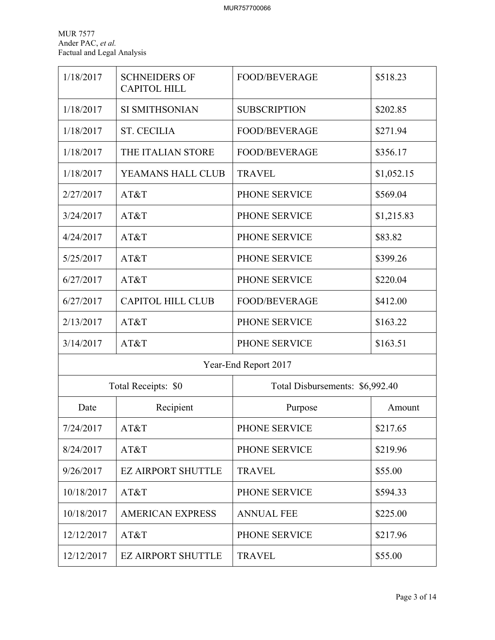| 1/18/2017  | <b>SCHNEIDERS OF</b><br><b>CAPITOL HILL</b> | <b>FOOD/BEVERAGE</b>            | \$518.23   |
|------------|---------------------------------------------|---------------------------------|------------|
| 1/18/2017  | <b>SI SMITHSONIAN</b>                       | <b>SUBSCRIPTION</b>             | \$202.85   |
| 1/18/2017  | <b>ST. CECILIA</b>                          | <b>FOOD/BEVERAGE</b>            | \$271.94   |
| 1/18/2017  | THE ITALIAN STORE                           | <b>FOOD/BEVERAGE</b>            | \$356.17   |
| 1/18/2017  | YEAMANS HALL CLUB                           | <b>TRAVEL</b>                   | \$1,052.15 |
| 2/27/2017  | AT&T                                        | PHONE SERVICE                   | \$569.04   |
| 3/24/2017  | AT&T                                        | PHONE SERVICE                   | \$1,215.83 |
| 4/24/2017  | AT&T                                        | PHONE SERVICE                   | \$83.82    |
| 5/25/2017  | AT&T                                        | PHONE SERVICE                   | \$399.26   |
| 6/27/2017  | AT&T                                        | PHONE SERVICE                   | \$220.04   |
| 6/27/2017  | <b>CAPITOL HILL CLUB</b>                    | <b>FOOD/BEVERAGE</b>            | \$412.00   |
| 2/13/2017  | AT&T                                        | PHONE SERVICE                   | \$163.22   |
| 3/14/2017  | AT&T                                        | PHONE SERVICE                   | \$163.51   |
|            | Year-End Report 2017                        |                                 |            |
|            | Total Receipts: \$0                         | Total Disbursements: \$6,992.40 |            |
| Date       | Recipient                                   | Purpose                         | Amount     |
| 7/24/2017  | AT&T                                        | PHONE SERVICE                   | \$217.65   |
| 8/24/2017  | AT&T                                        | PHONE SERVICE                   | \$219.96   |
| 9/26/2017  | <b>EZ AIRPORT SHUTTLE</b>                   | <b>TRAVEL</b>                   | \$55.00    |
| 10/18/2017 | AT&T                                        | PHONE SERVICE                   | \$594.33   |
| 10/18/2017 | <b>AMERICAN EXPRESS</b>                     | <b>ANNUAL FEE</b>               | \$225.00   |
| 12/12/2017 | AT&T                                        | PHONE SERVICE                   | \$217.96   |
| 12/12/2017 | <b>EZ AIRPORT SHUTTLE</b>                   | <b>TRAVEL</b>                   | \$55.00    |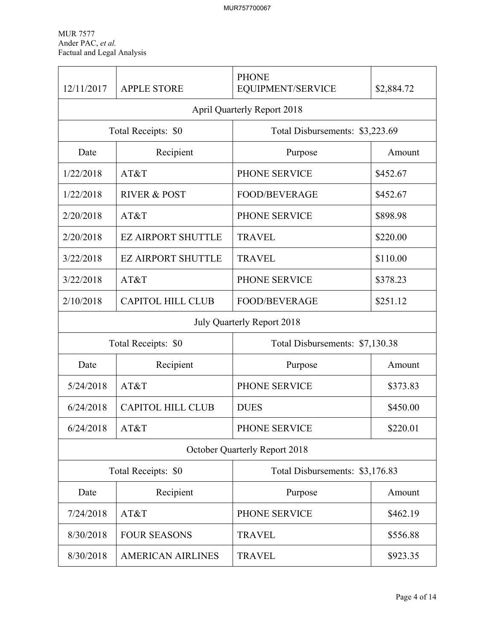| 12/11/2017                                             | <b>APPLE STORE</b>        | <b>PHONE</b><br>EQUIPMENT/SERVICE  | \$2,884.72 |
|--------------------------------------------------------|---------------------------|------------------------------------|------------|
|                                                        |                           | <b>April Quarterly Report 2018</b> |            |
| Total Receipts: \$0<br>Total Disbursements: \$3,223.69 |                           |                                    |            |
| Date                                                   | Recipient                 | Purpose                            | Amount     |
| 1/22/2018                                              | AT&T                      | PHONE SERVICE                      | \$452.67   |
| 1/22/2018                                              | <b>RIVER &amp; POST</b>   | <b>FOOD/BEVERAGE</b>               | \$452.67   |
| 2/20/2018                                              | AT&T                      | PHONE SERVICE                      | \$898.98   |
| 2/20/2018                                              | <b>EZ AIRPORT SHUTTLE</b> | <b>TRAVEL</b>                      | \$220.00   |
| 3/22/2018                                              | <b>EZ AIRPORT SHUTTLE</b> | <b>TRAVEL</b>                      | \$110.00   |
| 3/22/2018                                              | AT&T                      | PHONE SERVICE                      | \$378.23   |
| 2/10/2018                                              | <b>CAPITOL HILL CLUB</b>  | <b>FOOD/BEVERAGE</b>               | \$251.12   |
|                                                        |                           | July Quarterly Report 2018         |            |
|                                                        | Total Receipts: \$0       | Total Disbursements: \$7,130.38    |            |
| Date                                                   | Recipient                 | Purpose                            | Amount     |
| 5/24/2018                                              | AT&T                      | PHONE SERVICE                      | \$373.83   |
| 6/24/2018                                              | <b>CAPITOL HILL CLUB</b>  | <b>DUES</b>                        | \$450.00   |
| 6/24/2018                                              | AT&T                      | PHONE SERVICE                      | \$220.01   |
|                                                        |                           | October Quarterly Report 2018      |            |
| Total Receipts: \$0<br>Total Disbursements: \$3,176.83 |                           |                                    |            |
| Date                                                   | Recipient                 | Purpose                            | Amount     |
| 7/24/2018                                              | AT&T                      | PHONE SERVICE                      | \$462.19   |
| 8/30/2018                                              | <b>FOUR SEASONS</b>       | <b>TRAVEL</b>                      | \$556.88   |
| 8/30/2018                                              | <b>AMERICAN AIRLINES</b>  | <b>TRAVEL</b>                      | \$923.35   |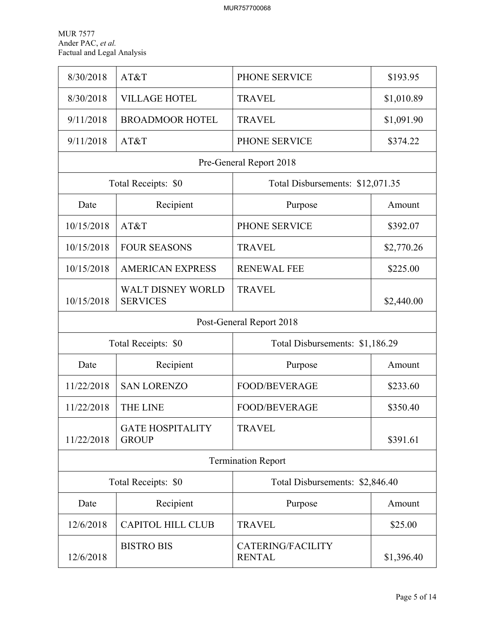| 8/30/2018  | AT&T                                                   | PHONE SERVICE                             | \$193.95   |  |  |
|------------|--------------------------------------------------------|-------------------------------------------|------------|--|--|
| 8/30/2018  | <b>VILLAGE HOTEL</b>                                   | <b>TRAVEL</b>                             | \$1,010.89 |  |  |
| 9/11/2018  | <b>BROADMOOR HOTEL</b>                                 | <b>TRAVEL</b>                             | \$1,091.90 |  |  |
| 9/11/2018  | AT&T                                                   | PHONE SERVICE                             | \$374.22   |  |  |
|            |                                                        | Pre-General Report 2018                   |            |  |  |
|            | Total Receipts: \$0                                    | Total Disbursements: \$12,071.35          |            |  |  |
| Date       | Recipient                                              | Purpose                                   | Amount     |  |  |
| 10/15/2018 | AT&T                                                   | PHONE SERVICE                             | \$392.07   |  |  |
| 10/15/2018 | <b>FOUR SEASONS</b>                                    | <b>TRAVEL</b>                             | \$2,770.26 |  |  |
| 10/15/2018 | <b>AMERICAN EXPRESS</b>                                | <b>RENEWAL FEE</b>                        | \$225.00   |  |  |
| 10/15/2018 | <b>WALT DISNEY WORLD</b><br><b>SERVICES</b>            | <b>TRAVEL</b>                             | \$2,440.00 |  |  |
|            | Post-General Report 2018                               |                                           |            |  |  |
|            | Total Receipts: \$0<br>Total Disbursements: \$1,186.29 |                                           |            |  |  |
| Date       | Recipient                                              | Purpose                                   | Amount     |  |  |
| 11/22/2018 | <b>SAN LORENZO</b>                                     | FOOD/BEVERAGE                             | \$233.60   |  |  |
| 11/22/2018 | <b>THE LINE</b>                                        | <b>FOOD/BEVERAGE</b>                      | \$350.40   |  |  |
| 11/22/2018 | <b>GATE HOSPITALITY</b><br><b>GROUP</b>                | <b>TRAVEL</b>                             | \$391.61   |  |  |
|            | <b>Termination Report</b>                              |                                           |            |  |  |
|            | Total Receipts: \$0                                    | Total Disbursements: \$2,846.40           |            |  |  |
| Date       | Recipient                                              | Purpose                                   | Amount     |  |  |
| 12/6/2018  | <b>CAPITOL HILL CLUB</b>                               | <b>TRAVEL</b>                             | \$25.00    |  |  |
| 12/6/2018  | <b>BISTRO BIS</b>                                      | <b>CATERING/FACILITY</b><br><b>RENTAL</b> | \$1,396.40 |  |  |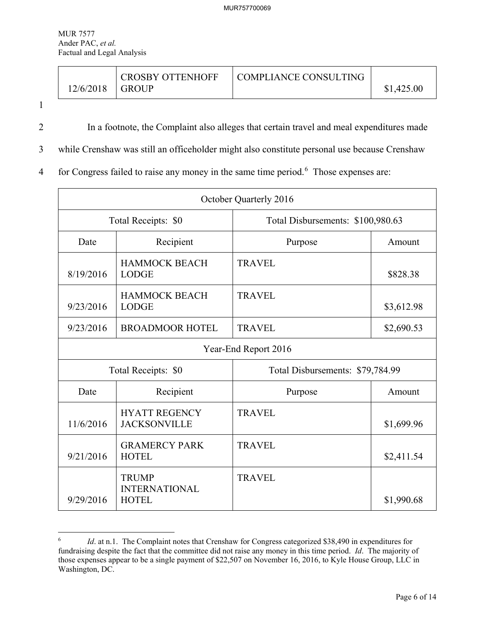| 12/6/2018 | <b>CROSBY OTTENHOFF</b> |         | \$1,425.00             |
|-----------|-------------------------|---------|------------------------|
|           |                         |         |                        |
|           |                         | l GROUP | LCOMPLIANCE CONSULTING |

1

 $\overline{a}$ 

2 In a footnote, the Complaint also alleges that certain travel and meal expenditures made

3 while Crenshaw was still an officeholder might also constitute personal use because Crenshaw

4 for Congress failed to raise any money in the same time period.<sup>[6](#page-7-0)</sup> Those expenses are:

| October Quarterly 2016 |                                                      |                                   |            |
|------------------------|------------------------------------------------------|-----------------------------------|------------|
| Total Receipts: \$0    |                                                      | Total Disbursements: \$100,980.63 |            |
| Date                   | Recipient                                            | Purpose                           | Amount     |
| 8/19/2016              | <b>HAMMOCK BEACH</b><br><b>LODGE</b>                 | <b>TRAVEL</b>                     | \$828.38   |
| 9/23/2016              | <b>HAMMOCK BEACH</b><br><b>LODGE</b>                 | <b>TRAVEL</b>                     | \$3,612.98 |
| 9/23/2016              | <b>BROADMOOR HOTEL</b>                               | <b>TRAVEL</b>                     | \$2,690.53 |
|                        |                                                      | Year-End Report 2016              |            |
| Total Receipts: \$0    |                                                      | Total Disbursements: \$79,784.99  |            |
| Date                   | Recipient                                            | Purpose                           | Amount     |
| 11/6/2016              | <b>HYATT REGENCY</b><br><b>JACKSONVILLE</b>          | <b>TRAVEL</b>                     | \$1,699.96 |
| 9/21/2016              | <b>GRAMERCY PARK</b><br><b>HOTEL</b>                 | <b>TRAVEL</b>                     | \$2,411.54 |
| 9/29/2016              | <b>TRUMP</b><br><b>INTERNATIONAL</b><br><b>HOTEL</b> | <b>TRAVEL</b>                     | \$1,990.68 |

<span id="page-7-0"></span><sup>6</sup> *Id.* at n.1. The Complaint notes that Crenshaw for Congress categorized \$38,490 in expenditures for fundraising despite the fact that the committee did not raise any money in this time period. *Id*. The majority of those expenses appear to be a single payment of \$22,507 on November 16, 2016, to Kyle House Group, LLC in Washington, DC.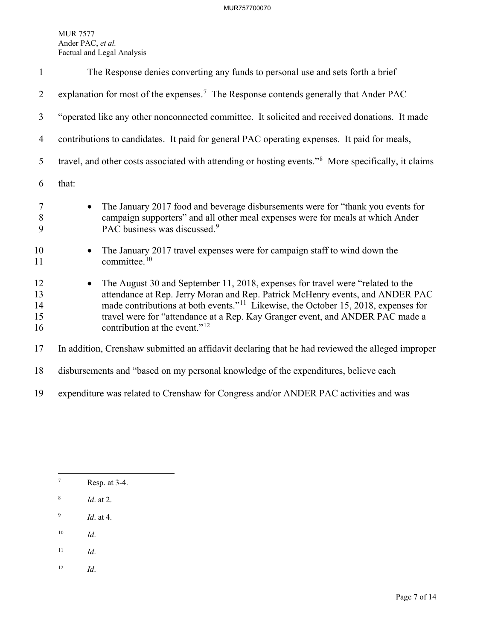| $\mathbf{1}$               | The Response denies converting any funds to personal use and sets forth a brief                                                                                                                                                                                                                                                                                                                 |
|----------------------------|-------------------------------------------------------------------------------------------------------------------------------------------------------------------------------------------------------------------------------------------------------------------------------------------------------------------------------------------------------------------------------------------------|
| 2                          | explanation for most of the expenses. <sup>7</sup> The Response contends generally that Ander PAC                                                                                                                                                                                                                                                                                               |
| 3                          | "operated like any other nonconnected committee. It solicited and received donations. It made                                                                                                                                                                                                                                                                                                   |
| 4                          | contributions to candidates. It paid for general PAC operating expenses. It paid for meals,                                                                                                                                                                                                                                                                                                     |
| 5                          | travel, and other costs associated with attending or hosting events." <sup>8</sup> More specifically, it claims                                                                                                                                                                                                                                                                                 |
| 6                          | that:                                                                                                                                                                                                                                                                                                                                                                                           |
| $\tau$<br>$8\,$<br>9       | The January 2017 food and beverage disbursements were for "thank you events for<br>$\bullet$<br>campaign supporters" and all other meal expenses were for meals at which Ander<br>PAC business was discussed. <sup>9</sup>                                                                                                                                                                      |
| 10<br>11                   | The January 2017 travel expenses were for campaign staff to wind down the<br>committee. <sup>10</sup>                                                                                                                                                                                                                                                                                           |
| 12<br>13<br>14<br>15<br>16 | The August 30 and September 11, 2018, expenses for travel were "related to the<br>attendance at Rep. Jerry Moran and Rep. Patrick McHenry events, and ANDER PAC<br>made contributions at both events." <sup>11</sup> Likewise, the October 15, 2018, expenses for<br>travel were for "attendance at a Rep. Kay Granger event, and ANDER PAC made a<br>contribution at the event." <sup>12</sup> |
| 17                         | In addition, Crenshaw submitted an affidavit declaring that he had reviewed the alleged improper                                                                                                                                                                                                                                                                                                |
| 18                         | disbursements and "based on my personal knowledge of the expenditures, believe each                                                                                                                                                                                                                                                                                                             |

19 expenditure was related to Crenshaw for Congress and/or ANDER PAC activities and was

- <span id="page-8-1"></span>8 *Id*. at 2.
- <span id="page-8-2"></span>9 *Id*. at 4.
- <span id="page-8-3"></span>10 *Id*.
- <span id="page-8-4"></span>11 *Id*.
- <span id="page-8-5"></span>12 *Id*.

<span id="page-8-0"></span><sup>—&</sup>lt;br>7 Resp. at 3-4.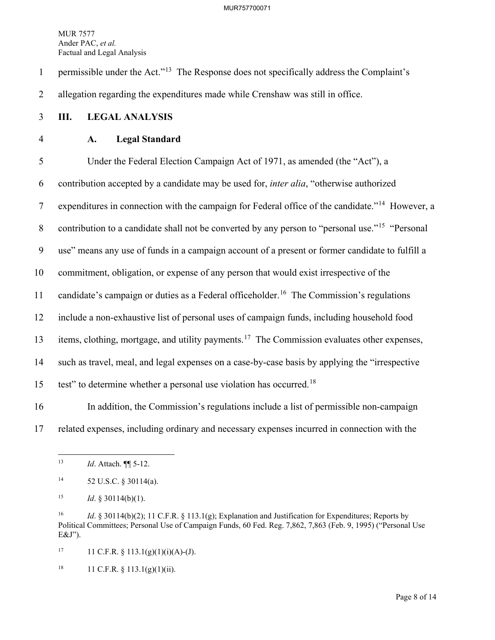1 permissible under the Act."<sup>[13](#page-9-0)</sup> The Response does not specifically address the Complaint's

2 allegation regarding the expenditures made while Crenshaw was still in office.

- 3 **III. LEGAL ANALYSIS**
- 

## 4 **A. Legal Standard**

5 Under the Federal Election Campaign Act of 1971, as amended (the "Act"), a 6 contribution accepted by a candidate may be used for, *inter alia*, "otherwise authorized 7 expenditures in connection with the campaign for Federal office of the candidate."<sup>[14](#page-9-1)</sup> However, a 8 contribution to a candidate shall not be converted by any person to "personal use."<sup>[15](#page-9-2)</sup> "Personal" 9 use" means any use of funds in a campaign account of a present or former candidate to fulfill a 10 commitment, obligation, or expense of any person that would exist irrespective of the 11 candidate's campaign or duties as a Federal officeholder.<sup>[16](#page-9-3)</sup> The Commission's regulations 12 include a non-exhaustive list of personal uses of campaign funds, including household food 13 items, clothing, mortgage, and utility payments.<sup>[17](#page-9-4)</sup> The Commission evaluates other expenses, 14 such as travel, meal, and legal expenses on a case-by-case basis by applying the "irrespective 15 test" to determine whether a personal use violation has occurred.<sup>[18](#page-9-5)</sup>

16 In addition, the Commission's regulations include a list of permissible non-campaign 17 related expenses, including ordinary and necessary expenses incurred in connection with the

<span id="page-9-4"></span>17 11 C.F.R.  $\S$  113.1(g)(1)(i)(A)-(J).

<span id="page-9-5"></span><sup>18</sup> 11 C.F.R. § 113.1(g)(1)(ii).

<span id="page-9-0"></span> $13$ 13 *Id*. Attach. ¶¶ 5-12.

<span id="page-9-1"></span><sup>14 52</sup> U.S.C. § 30114(a).

<span id="page-9-2"></span><sup>&</sup>lt;sup>15</sup> *Id.* § 30114(b)(1).

<span id="page-9-3"></span><sup>16</sup> *Id*. § 30114(b)(2); 11 C.F.R. § 113.1(g); Explanation and Justification for Expenditures; Reports by Political Committees; Personal Use of Campaign Funds, 60 Fed. Reg. 7,862, 7,863 (Feb. 9, 1995) ("Personal Use E&J").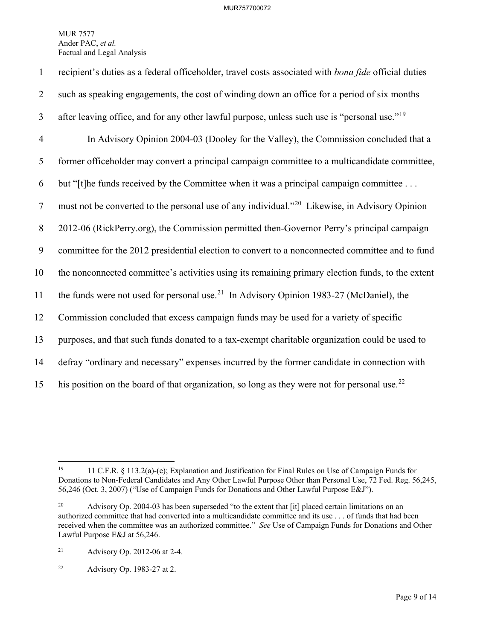| $\mathbf{1}$   | recipient's duties as a federal officeholder, travel costs associated with bona fide official duties      |
|----------------|-----------------------------------------------------------------------------------------------------------|
| $\overline{2}$ | such as speaking engagements, the cost of winding down an office for a period of six months               |
| $\mathfrak{Z}$ | after leaving office, and for any other lawful purpose, unless such use is "personal use." <sup>19</sup>  |
| $\overline{4}$ | In Advisory Opinion 2004-03 (Dooley for the Valley), the Commission concluded that a                      |
| 5              | former officeholder may convert a principal campaign committee to a multicandidate committee,             |
| 6              | but "[t]he funds received by the Committee when it was a principal campaign committee                     |
| $\overline{7}$ | must not be converted to the personal use of any individual." <sup>20</sup> Likewise, in Advisory Opinion |
| $8\phantom{.}$ | 2012-06 (RickPerry.org), the Commission permitted then-Governor Perry's principal campaign                |
| 9              | committee for the 2012 presidential election to convert to a nonconnected committee and to fund           |
| 10             | the nonconnected committee's activities using its remaining primary election funds, to the extent         |
| 11             | the funds were not used for personal use. <sup>21</sup> In Advisory Opinion 1983-27 (McDaniel), the       |
| 12             | Commission concluded that excess campaign funds may be used for a variety of specific                     |
| 13             | purposes, and that such funds donated to a tax-exempt charitable organization could be used to            |
| 14             | defray "ordinary and necessary" expenses incurred by the former candidate in connection with              |
| 15             | his position on the board of that organization, so long as they were not for personal use. <sup>22</sup>  |

<span id="page-10-2"></span>21 Advisory Op. 2012-06 at 2-4.

<span id="page-10-3"></span> $22$  Advisory Op. 1983-27 at 2.

<span id="page-10-0"></span> $19$ 19 11 C.F.R. § 113.2(a)-(e); Explanation and Justification for Final Rules on Use of Campaign Funds for Donations to Non-Federal Candidates and Any Other Lawful Purpose Other than Personal Use, 72 Fed. Reg. 56,245, 56,246 (Oct. 3, 2007) ("Use of Campaign Funds for Donations and Other Lawful Purpose E&J").

<span id="page-10-1"></span><sup>&</sup>lt;sup>20</sup> Advisory Op. 2004-03 has been superseded "to the extent that [it] placed certain limitations on an authorized committee that had converted into a multicandidate committee and its use . . . of funds that had been received when the committee was an authorized committee." *See* Use of Campaign Funds for Donations and Other Lawful Purpose E&J at 56,246.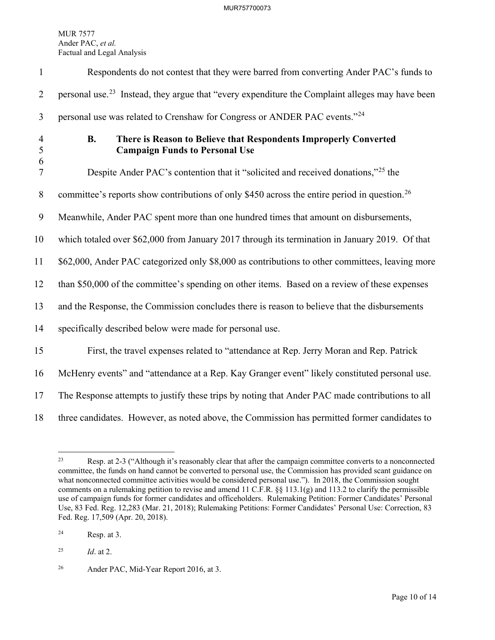| $\mathbf{1}$        | Respondents do not contest that they were barred from converting Ander PAC's funds to                                  |
|---------------------|------------------------------------------------------------------------------------------------------------------------|
| $\overline{2}$      | personal use. <sup>23</sup> Instead, they argue that "every expenditure the Complaint alleges may have been            |
| $\mathfrak{Z}$      | personal use was related to Crenshaw for Congress or ANDER PAC events." <sup>24</sup>                                  |
| $\overline{4}$<br>5 | There is Reason to Believe that Respondents Improperly Converted<br><b>B.</b><br><b>Campaign Funds to Personal Use</b> |
| 6<br>$\overline{7}$ | Despite Ander PAC's contention that it "solicited and received donations," <sup>25</sup> the                           |
| 8                   | committee's reports show contributions of only \$450 across the entire period in question. <sup>26</sup>               |
| 9                   | Meanwhile, Ander PAC spent more than one hundred times that amount on disbursements,                                   |
| 10                  | which totaled over \$62,000 from January 2017 through its termination in January 2019. Of that                         |
| 11                  | \$62,000, Ander PAC categorized only \$8,000 as contributions to other committees, leaving more                        |
| 12                  | than \$50,000 of the committee's spending on other items. Based on a review of these expenses                          |
| 13                  | and the Response, the Commission concludes there is reason to believe that the disbursements                           |
| 14                  | specifically described below were made for personal use.                                                               |
| 15                  | First, the travel expenses related to "attendance at Rep. Jerry Moran and Rep. Patrick                                 |
| 16                  | McHenry events" and "attendance at a Rep. Kay Granger event" likely constituted personal use.                          |
| 17                  | The Response attempts to justify these trips by noting that Ander PAC made contributions to all                        |
| 18                  | three candidates. However, as noted above, the Commission has permitted former candidates to                           |

<span id="page-11-0"></span> $23$ 23 Resp. at 2-3 ("Although it's reasonably clear that after the campaign committee converts to a nonconnected committee, the funds on hand cannot be converted to personal use, the Commission has provided scant guidance on what nonconnected committee activities would be considered personal use."). In 2018, the Commission sought comments on a rulemaking petition to revise and amend 11 C.F.R. §§ 113.1(g) and 113.2 to clarify the permissible use of campaign funds for former candidates and officeholders. Rulemaking Petition: Former Candidates' Personal Use, 83 Fed. Reg. 12,283 (Mar. 21, 2018); Rulemaking Petitions: Former Candidates' Personal Use: Correction, 83 Fed. Reg. 17,509 (Apr. 20, 2018).

<span id="page-11-1"></span><sup>24</sup> Resp. at 3.

<span id="page-11-2"></span><sup>25</sup> *Id*. at 2.

<span id="page-11-3"></span><sup>&</sup>lt;sup>26</sup> Ander PAC, Mid-Year Report 2016, at 3.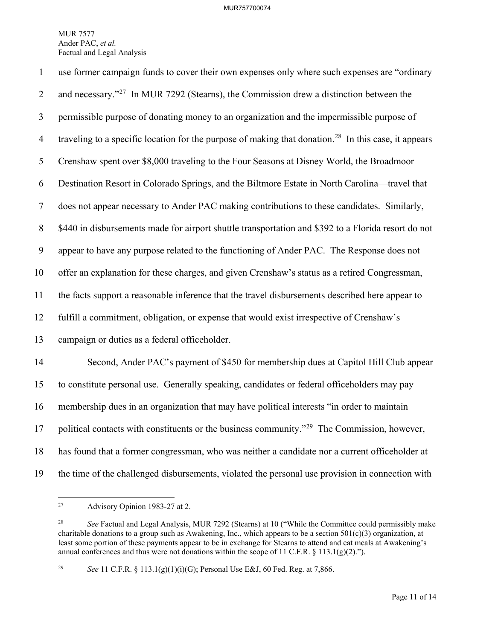| $\mathbf{1}$   | use former campaign funds to cover their own expenses only where such expenses are "ordinary                     |
|----------------|------------------------------------------------------------------------------------------------------------------|
| $\overline{2}$ | and necessary." <sup>27</sup> In MUR 7292 (Stearns), the Commission drew a distinction between the               |
| $\mathfrak{Z}$ | permissible purpose of donating money to an organization and the impermissible purpose of                        |
| $\overline{4}$ | traveling to a specific location for the purpose of making that donation. <sup>28</sup> In this case, it appears |
| 5              | Crenshaw spent over \$8,000 traveling to the Four Seasons at Disney World, the Broadmoor                         |
| 6              | Destination Resort in Colorado Springs, and the Biltmore Estate in North Carolina-travel that                    |
| $\tau$         | does not appear necessary to Ander PAC making contributions to these candidates. Similarly,                      |
| 8              | \$440 in disbursements made for airport shuttle transportation and \$392 to a Florida resort do not              |
| 9              | appear to have any purpose related to the functioning of Ander PAC. The Response does not                        |
| 10             | offer an explanation for these charges, and given Crenshaw's status as a retired Congressman,                    |
| 11             | the facts support a reasonable inference that the travel disbursements described here appear to                  |
| 12             | fulfill a commitment, obligation, or expense that would exist irrespective of Crenshaw's                         |
| 13             | campaign or duties as a federal officeholder.                                                                    |
| 14             | Second, Ander PAC's payment of \$450 for membership dues at Capitol Hill Club appear                             |
| 15             | to constitute personal use. Generally speaking, candidates or federal officeholders may pay                      |
| 16             | membership dues in an organization that may have political interests "in order to maintain                       |
| 17             | political contacts with constituents or the business community." <sup>29</sup> The Commission, however,          |
| 18             | has found that a former congressman, who was neither a candidate nor a current officeholder at                   |
| 19             | the time of the challenged disbursements, violated the personal use provision in connection with                 |

<span id="page-12-0"></span> $27\,$ 27 Advisory Opinion 1983-27 at 2.

<span id="page-12-1"></span><sup>28</sup> *See* Factual and Legal Analysis, MUR 7292 (Stearns) at 10 ("While the Committee could permissibly make charitable donations to a group such as Awakening, Inc., which appears to be a section 501(c)(3) organization, at least some portion of these payments appear to be in exchange for Stearns to attend and eat meals at Awakening's annual conferences and thus were not donations within the scope of 11 C.F.R. § 113.1(g)(2).").

<span id="page-12-2"></span><sup>29</sup> *See* 11 C.F.R. § 113.1(g)(1)(i)(G); Personal Use E&J, 60 Fed. Reg. at 7,866.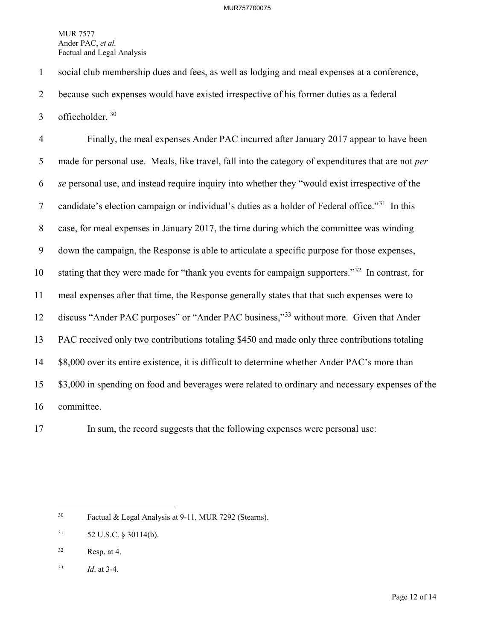1 social club membership dues and fees, as well as lodging and meal expenses at a conference,

2 because such expenses would have existed irrespective of his former duties as a federal

3 officeholder.  $30$ 

4 Finally, the meal expenses Ander PAC incurred after January 2017 appear to have been 5 made for personal use. Meals, like travel, fall into the category of expenditures that are not *per*  6 *se* personal use, and instead require inquiry into whether they "would exist irrespective of the 7 candidate's election campaign or individual's duties as a holder of Federal office. $1^{31}$  $1^{31}$  $1^{31}$  In this 8 case, for meal expenses in January 2017, the time during which the committee was winding 9 down the campaign, the Response is able to articulate a specific purpose for those expenses, 10 stating that they were made for "thank you events for campaign supporters."<sup>[32](#page-13-2)</sup> In contrast, for 11 meal expenses after that time, the Response generally states that that such expenses were to 12 discuss "Ander PAC purposes" or "Ander PAC business,"<sup>33</sup> without more. Given that Ander 13 PAC received only two contributions totaling \$450 and made only three contributions totaling 14 \$8,000 over its entire existence, it is difficult to determine whether Ander PAC's more than 15 \$3,000 in spending on food and beverages were related to ordinary and necessary expenses of the 16 committee.



17 In sum, the record suggests that the following expenses were personal use:

<span id="page-13-0"></span> $30<sup>°</sup>$ Factual & Legal Analysis at 9-11, MUR 7292 (Stearns).

<span id="page-13-1"></span> $31$  52 U.S.C. § 30114(b).

<span id="page-13-2"></span> $32$  Resp. at 4.

<span id="page-13-3"></span><sup>33</sup> *Id*. at 3-4.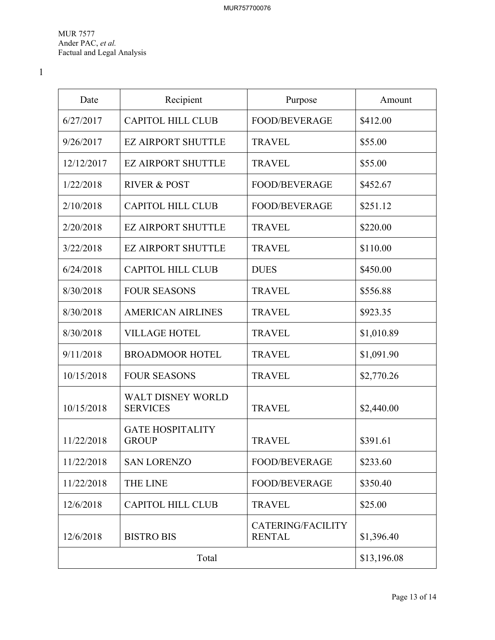1

| Date       | Recipient                                   | Purpose                            | Amount      |
|------------|---------------------------------------------|------------------------------------|-------------|
| 6/27/2017  | <b>CAPITOL HILL CLUB</b>                    | <b>FOOD/BEVERAGE</b>               | \$412.00    |
| 9/26/2017  | <b>EZ AIRPORT SHUTTLE</b>                   | <b>TRAVEL</b>                      | \$55.00     |
| 12/12/2017 | <b>EZ AIRPORT SHUTTLE</b>                   | <b>TRAVEL</b>                      | \$55.00     |
| 1/22/2018  | <b>RIVER &amp; POST</b>                     | <b>FOOD/BEVERAGE</b>               | \$452.67    |
| 2/10/2018  | <b>CAPITOL HILL CLUB</b>                    | <b>FOOD/BEVERAGE</b>               | \$251.12    |
| 2/20/2018  | <b>EZ AIRPORT SHUTTLE</b>                   | <b>TRAVEL</b>                      | \$220.00    |
| 3/22/2018  | <b>EZ AIRPORT SHUTTLE</b>                   | <b>TRAVEL</b>                      | \$110.00    |
| 6/24/2018  | <b>CAPITOL HILL CLUB</b>                    | <b>DUES</b>                        | \$450.00    |
| 8/30/2018  | <b>FOUR SEASONS</b>                         | <b>TRAVEL</b>                      | \$556.88    |
| 8/30/2018  | <b>AMERICAN AIRLINES</b>                    | <b>TRAVEL</b>                      | \$923.35    |
| 8/30/2018  | <b>VILLAGE HOTEL</b>                        | <b>TRAVEL</b>                      | \$1,010.89  |
| 9/11/2018  | <b>BROADMOOR HOTEL</b>                      | <b>TRAVEL</b>                      | \$1,091.90  |
| 10/15/2018 | <b>FOUR SEASONS</b>                         | <b>TRAVEL</b>                      | \$2,770.26  |
| 10/15/2018 | <b>WALT DISNEY WORLD</b><br><b>SERVICES</b> | <b>TRAVEL</b>                      | \$2,440.00  |
| 11/22/2018 | <b>GATE HOSPITALITY</b><br><b>GROUP</b>     | <b>TRAVEL</b>                      | \$391.61    |
| 11/22/2018 | <b>SAN LORENZO</b>                          | <b>FOOD/BEVERAGE</b>               | \$233.60    |
| 11/22/2018 | <b>THE LINE</b>                             | <b>FOOD/BEVERAGE</b>               | \$350.40    |
| 12/6/2018  | <b>CAPITOL HILL CLUB</b>                    | <b>TRAVEL</b>                      | \$25.00     |
| 12/6/2018  | <b>BISTRO BIS</b>                           | CATERING/FACILITY<br><b>RENTAL</b> | \$1,396.40  |
| Total      |                                             |                                    | \$13,196.08 |